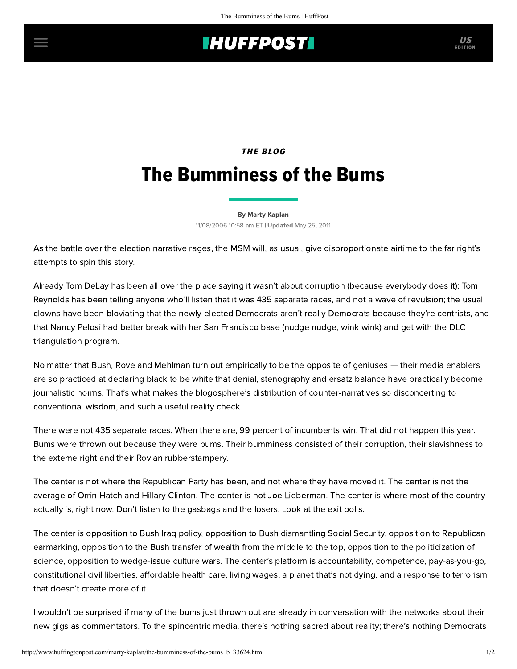## **IHUFFPOSTI** US

## THE BLOG The Bumminess of the Bums

[By Marty Kaplan](http://www.huffingtonpost.com/author/marty-kaplan) 11/08/2006 10:58 am ET | Updated May 25, 2011

As the battle over the election narrative rages, the MSM will, as usual, give disproportionate airtime to the far right's attempts to spin this story.

Already Tom DeLay has been all over the place saying it wasn't about corruption (because everybody does it); Tom Reynolds has been telling anyone who'll listen that it was 435 separate races, and not a wave of revulsion; the usual clowns have been bloviating that the newly-elected Democrats aren't really Democrats because they're centrists, and that Nancy Pelosi had better break with her San Francisco base (nudge nudge, wink wink) and get with the DLC triangulation program.

No matter that Bush, Rove and Mehlman turn out empirically to be the opposite of geniuses — their media enablers are so practiced at declaring black to be white that denial, stenography and ersatz balance have practically become journalistic norms. That's what makes the blogosphere's distribution of counter-narratives so disconcerting to conventional wisdom, and such a useful reality check.

There were not 435 separate races. When there are, 99 percent of incumbents win. That did not happen this year. Bums were thrown out because they were bums. Their bumminess consisted of their corruption, their slavishness to the exteme right and their Rovian rubberstampery.

The center is not where the Republican Party has been, and not where they have moved it. The center is not the average of Orrin Hatch and Hillary Clinton. The center is not Joe Lieberman. The center is where most of the country actually is, right now. Don't listen to the gasbags and the losers. Look at the exit polls.

The center is opposition to Bush Iraq policy, opposition to Bush dismantling Social Security, opposition to Republican earmarking, opposition to the Bush transfer of wealth from the middle to the top, opposition to the politicization of science, opposition to wedge-issue culture wars. The center's platform is accountability, competence, pay-as-you-go, constitutional civil liberties, affordable health care, living wages, a planet that's not dying, and a response to terrorism that doesn't create more of it.

I wouldn't be surprised if many of the bums just thrown out are already in conversation with the networks about their new gigs as commentators. To the spincentric media, there's nothing sacred about reality; there's nothing Democrats